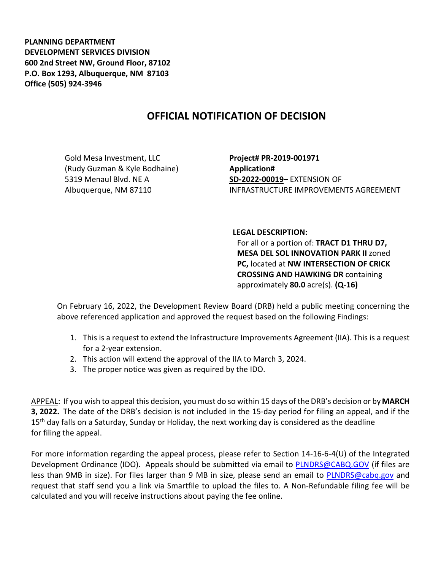**PLANNING DEPARTMENT DEVELOPMENT SERVICES DIVISION 600 2nd Street NW, Ground Floor, 87102 P.O. Box 1293, Albuquerque, NM 87103 Office (505) 924-3946** 

## **OFFICIAL NOTIFICATION OF DECISION**

Gold Mesa Investment, LLC (Rudy Guzman & Kyle Bodhaine) 5319 Menaul Blvd. NE A Albuquerque, NM 87110

**Project# PR-2019-001971 Application# SD-2022-00019–** EXTENSION OF INFRASTRUCTURE IMPROVEMENTS AGREEMENT

## **LEGAL DESCRIPTION:**

For all or a portion of: **TRACT D1 THRU D7, MESA DEL SOL INNOVATION PARK II** zoned **PC,** located at **NW INTERSECTION OF CRICK CROSSING AND HAWKING DR** containing approximately **80.0** acre(s). **(Q-16)**

On February 16, 2022, the Development Review Board (DRB) held a public meeting concerning the above referenced application and approved the request based on the following Findings:

- 1. This is a request to extend the Infrastructure Improvements Agreement (IIA). This is a request for a 2-year extension.
- 2. This action will extend the approval of the IIA to March 3, 2024.
- 3. The proper notice was given as required by the IDO.

APPEAL: If you wish to appeal this decision, you must do so within 15 days of the DRB's decision or by**MARCH 3, 2022.** The date of the DRB's decision is not included in the 15-day period for filing an appeal, and if the  $15<sup>th</sup>$  day falls on a Saturday, Sunday or Holiday, the next working day is considered as the deadline for filing the appeal.

For more information regarding the appeal process, please refer to Section 14-16-6-4(U) of the Integrated Development Ordinance (IDO). Appeals should be submitted via email to [PLNDRS@CABQ.GOV](mailto:PLNDRS@CABQ.GOV) (if files are less than 9MB in size). For files larger than 9 MB in size, please send an email to [PLNDRS@cabq.gov](mailto:PLNDRS@cabq.gov) and request that staff send you a link via Smartfile to upload the files to. A Non-Refundable filing fee will be calculated and you will receive instructions about paying the fee online.